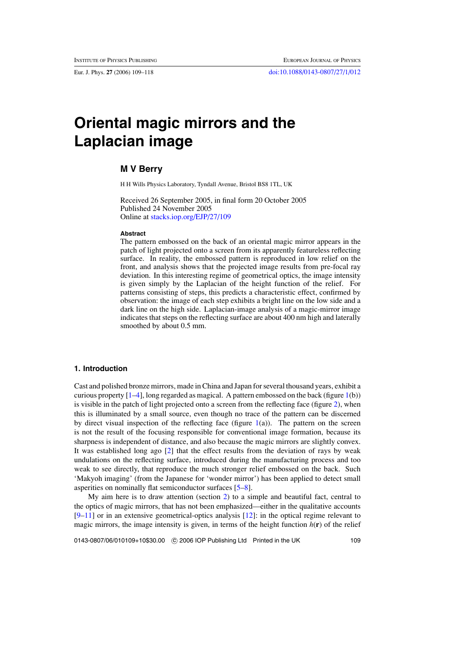# **Oriental magic mirrors and the Laplacian image**

## **M V Berry**

H H Wills Physics Laboratory, Tyndall Avenue, Bristol BS8 1TL, UK

Received 26 September 2005, in final form 20 October 2005 Published 24 November 2005 Online at [stacks.iop.org/EJP/27/109](http://stacks.iop.org/EJP/27/109)

#### **Abstract**

The pattern embossed on the back of an oriental magic mirror appears in the patch of light projected onto a screen from its apparently featureless reflecting surface. In reality, the embossed pattern is reproduced in low relief on the front, and analysis shows that the projected image results from pre-focal ray deviation. In this interesting regime of geometrical optics, the image intensity is given simply by the Laplacian of the height function of the relief. For patterns consisting of steps, this predicts a characteristic effect, confirmed by observation: the image of each step exhibits a bright line on the low side and a dark line on the high side. Laplacian-image analysis of a magic-mirror image indicates that steps on the reflecting surface are about 400 nm high and laterally smoothed by about 0.5 mm.

# **1. Introduction**

Cast and polished bronze mirrors, made in China and Japan for several thousand years, exhibit a curious property  $[1-4]$ , long regarded as magical. A pattern embossed on the back (figure [1\(](#page-1-0)b)) is visible in the patch of light projected onto a screen from the reflecting face (figure [2\)](#page-1-0), when this is illuminated by a small source, even though no trace of the pattern can be discerned by direct visual inspection of the reflecting face (figure  $1(a)$  $1(a)$ ). The pattern on the screen is not the result of the focusing responsible for conventional image formation, because its sharpness is independent of distance, and also because the magic mirrors are slightly convex. It was established long ago [\[2](#page-8-0)] that the effect results from the deviation of rays by weak undulations on the reflecting surface, introduced during the manufacturing process and too weak to see directly, that reproduce the much stronger relief embossed on the back. Such 'Makyoh imaging' (from the Japanese for 'wonder mirror') has been applied to detect small asperities on nominally flat semiconductor surfaces [\[5](#page-8-0)[–8](#page-9-0)].

My aim here is to draw attention (section [2\)](#page-1-0) to a simple and beautiful fact, central to the optics of magic mirrors, that has not been emphasized—either in the qualitative accounts  $[9-11]$  or in an extensive geometrical-optics analysis  $[12]$  $[12]$ : in the optical regime relevant to magic mirrors, the image intensity is given, in terms of the height function  $h(\mathbf{r})$  of the relief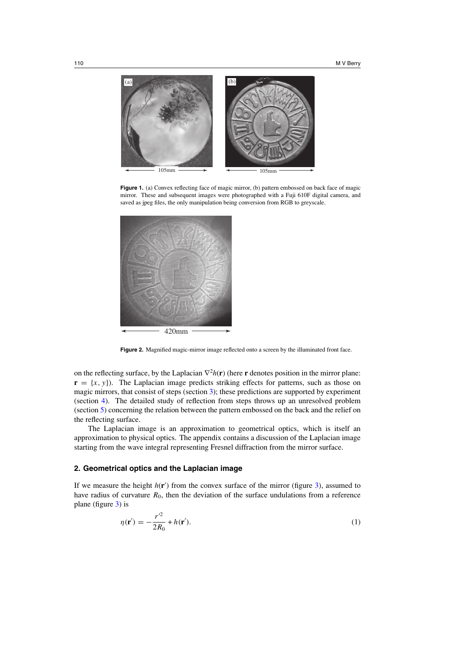<span id="page-1-0"></span>

Figure 1. (a) Convex reflecting face of magic mirror, (b) pattern embossed on back face of magic mirror. These and subsequent images were photographed with a Fuji 610F digital camera, and saved as jpeg files, the only manipulation being conversion from RGB to greyscale.



Figure 2. Magnified magic-mirror image reflected onto a screen by the illuminated front face.

on the reflecting surface, by the Laplacian  $\nabla^2 h(\mathbf{r})$  (here **r** denotes position in the mirror plane:  $\mathbf{r} = \{x, y\}$ ). The Laplacian image predicts striking effects for patterns, such as those on magic mirrors, that consist of steps (section [3\)](#page-3-0); these predictions are supported by experiment (section [4\)](#page-4-0). The detailed study of reflection from steps throws up an unresolved problem (section [5\)](#page-6-0) concerning the relation between the pattern embossed on the back and the relief on the reflecting surface.

The Laplacian image is an approximation to geometrical optics, which is itself an approximation to physical optics. The appendix contains a discussion of the Laplacian image starting from the wave integral representing Fresnel diffraction from the mirror surface.

#### **2. Geometrical optics and the Laplacian image**

If we measure the height  $h(\mathbf{r}')$  from the convex surface of the mirror (figure [3\)](#page-2-0), assumed to have radius of curvature  $R_0$ , then the deviation of the surface undulations from a reference plane (figure [3\)](#page-2-0) is

$$
\eta(\mathbf{r}') = -\frac{r'^2}{2R_0} + h(\mathbf{r}'). \tag{1}
$$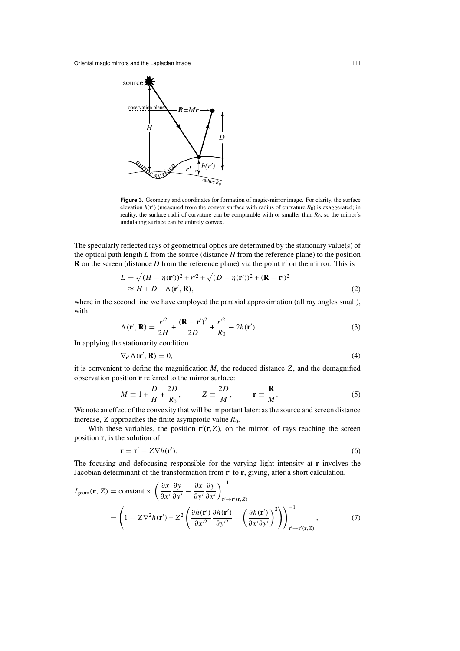<span id="page-2-0"></span>

Figure 3. Geometry and coordinates for formation of magic-mirror image. For clarity, the surface elevation  $h(\mathbf{r}')$  (measured from the convex surface with radius of curvature  $R_0$ ) is exaggerated; in reality, the surface radii of curvature can be comparable with or smaller than  $R_0$ , so the mirror's undulating surface can be entirely convex.

The specularly reflected rays of geometrical optics are determined by the stationary value(s) of the optical path length *L* from the source (distance *H* from the reference plane) to the position  **on the screen (distance**  $D$  **from the reference plane) via the point**  $**r**'$  **on the mirror. This is** 

$$
L = \sqrt{(H - \eta(\mathbf{r}'))^2 + r'^2} + \sqrt{(D - \eta(\mathbf{r}'))^2 + (\mathbf{R} - \mathbf{r}')^2}
$$
  
 
$$
\approx H + D + \Lambda(\mathbf{r}', \mathbf{R}),
$$
 (2)

where in the second line we have employed the paraxial approximation (all ray angles small), with

$$
\Lambda(\mathbf{r}', \mathbf{R}) = \frac{r^2}{2H} + \frac{(\mathbf{R} - \mathbf{r}')^2}{2D} + \frac{r^2}{R_0} - 2h(\mathbf{r}').
$$
\n(3)

In applying the stationarity condition

$$
\nabla_{\mathbf{r}'} \Lambda(\mathbf{r}', \mathbf{R}) = 0,\tag{4}
$$

it is convenient to define the magnification  $M$ , the reduced distance  $Z$ , and the demagnified observation position **r** referred to the mirror surface:

$$
M \equiv 1 + \frac{D}{H} + \frac{2D}{R_0}, \qquad Z \equiv \frac{2D}{M}, \qquad \mathbf{r} \equiv \frac{\mathbf{R}}{M}.
$$
 (5)

We note an effect of the convexity that will be important later: as the source and screen distance increase, *Z* approaches the finite asymptotic value  $R_0$ .

With these variables, the position  $\mathbf{r}'(\mathbf{r}, Z)$ , on the mirror, of rays reaching the screen position **r**, is the solution of

$$
\mathbf{r} = \mathbf{r}' - Z \nabla h(\mathbf{r}'). \tag{6}
$$

The focusing and defocusing responsible for the varying light intensity at **r** involves the Jacobian determinant of the transformation from **r**<sup>'</sup> to **r**, giving, after a short calculation,

$$
I_{\text{geom}}(\mathbf{r}, Z) = \text{constant} \times \left( \frac{\partial x}{\partial x'} \frac{\partial y}{\partial y'} - \frac{\partial x}{\partial y'} \frac{\partial y}{\partial x'} \right)_{\mathbf{r'} \to \mathbf{r'}(\mathbf{r}, Z)}^{-1}
$$
  
= 
$$
\left( 1 - Z \nabla^2 h(\mathbf{r'}) + Z^2 \left( \frac{\partial h(\mathbf{r'})}{\partial x'^2} \frac{\partial h(\mathbf{r'})}{\partial y'^2} - \left( \frac{\partial h(\mathbf{r'})}{\partial x' \partial y'} \right)^2 \right) \right)_{\mathbf{r'} \to \mathbf{r'}(\mathbf{r}, Z)}^{-1},
$$
(7)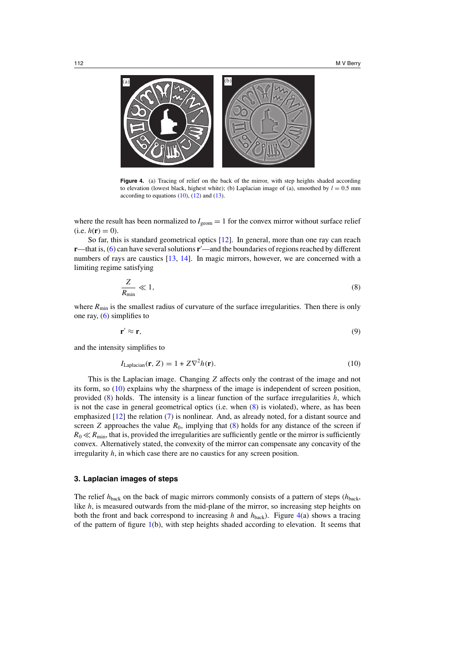<span id="page-3-0"></span>

Figure 4. (a) Tracing of relief on the back of the mirror, with step heights shaded according to elevation (lowest black, highest white); (b) Laplacian image of (a), smoothed by  $l = 0.5$  mm according to equations  $(10)$ ,  $(12)$  and  $(13)$ .

where the result has been normalized to  $I_{\text{eem}} = 1$  for the convex mirror without surface relief  $(i.e. h(r) = 0).$ 

So far, this is standard geometrical optics [\[12](#page-9-0)]. In general, more than one ray can reach **r**—that is, [\(6\)](#page-2-0) can have several solutions **r**'—and the boundaries of regions reached by different numbers of rays are caustics [\[13,](#page-9-0) [14](#page-9-0)]. In magic mirrors, however, we are concerned with a limiting regime satisfying

$$
\frac{Z}{R_{\min}} \ll 1,\tag{8}
$$

where  $R_{\text{min}}$  is the smallest radius of curvature of the surface irregularities. Then there is only one ray,  $(6)$  simplifies to

$$
\mathbf{r}' \approx \mathbf{r},\tag{9}
$$

and the intensity simplifies to

$$
I_{\text{Laplacian}}(\mathbf{r}, Z) = 1 + Z \nabla^2 h(\mathbf{r}).\tag{10}
$$

This is the Laplacian image. Changing *Z* affects only the contrast of the image and not its form, so (10) explains why the sharpness of the image is independent of screen position, provided (8) holds. The intensity is a linear function of the surface irregularities *h*, which is not the case in general geometrical optics (i.e. when (8) is violated), where, as has been emphasized [\[12\]](#page-9-0) the relation [\(7\)](#page-2-0) is nonlinear. And, as already noted, for a distant source and screen *Z* approaches the value  $R_0$ , implying that  $(8)$  holds for any distance of the screen if  $R_0 \ll R_{\text{min}}$ , that is, provided the irregularities are sufficiently gentle or the mirror is sufficiently convex. Alternatively stated, the convexity of the mirror can compensate any concavity of the irregularity *h*, in which case there are no caustics for any screen position.

# **3. Laplacian images of steps**

The relief *h*back on the back of magic mirrors commonly consists of a pattern of steps (*h*back, like *h*, is measured outwards from the mid-plane of the mirror, so increasing step heights on both the front and back correspond to increasing *h* and  $h_{\text{back}}$ . Figure 4(a) shows a tracing of the pattern of figure [1\(](#page-1-0)b), with step heights shaded according to elevation. It seems that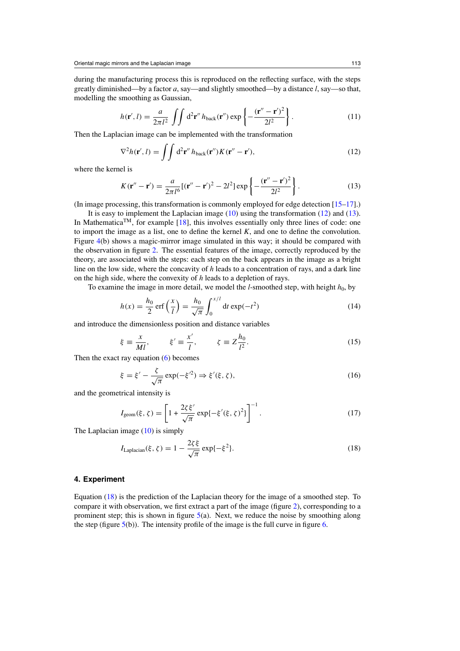<span id="page-4-0"></span>during the manufacturing process this is reproduced on the reflecting surface, with the steps greatly diminished—by a factor *a*, say—and slightly smoothed—by a distance *l*, say—so that, modelling the smoothing as Gaussian,

$$
h(\mathbf{r}',l) = \frac{a}{2\pi l^2} \iint d^2 \mathbf{r}'' h_{\text{back}}(\mathbf{r}'') \exp\left\{-\frac{(\mathbf{r}'' - \mathbf{r}')^2}{2l^2}\right\}.
$$
 (11)

Then the Laplacian image can be implemented with the transformation

$$
\nabla^2 h(\mathbf{r}',l) = \iint d^2 \mathbf{r}'' h_{\text{back}}(\mathbf{r}'') K(\mathbf{r}'' - \mathbf{r}'),\tag{12}
$$

where the kernel is

$$
K(\mathbf{r}'' - \mathbf{r}') = \frac{a}{2\pi l^6} [(\mathbf{r}'' - \mathbf{r}')^2 - 2l^2] \exp\left\{-\frac{(\mathbf{r}'' - \mathbf{r}')^2}{2l^2}\right\}.
$$
 (13)

(In image processing, this transformation is commonly employed for edge detection [\[15–17](#page-9-0)].)

It is easy to implement the Laplacian image  $(10)$  using the transformation  $(12)$  and  $(13)$ . In Mathematica<sup>TM</sup>, for example [\[18](#page-9-0)], this involves essentially only three lines of code: one to import the image as a list, one to define the kernel *K*, and one to define the convolution. Figure [4\(](#page-3-0)b) shows a magic-mirror image simulated in this way; it should be compared with the observation in figure [2.](#page-1-0) The essential features of the image, correctly reproduced by the theory, are associated with the steps: each step on the back appears in the image as a bright line on the low side, where the concavity of *h* leads to a concentration of rays, and a dark line on the high side, where the convexity of *h* leads to a depletion of rays.

To examine the image in more detail, we model the *l*-smoothed step, with height  $h_0$ , by

$$
h(x) = \frac{h_0}{2} \operatorname{erf}\left(\frac{x}{l}\right) = \frac{h_0}{\sqrt{\pi}} \int_0^{x/l} dt \exp(-t^2)
$$
 (14)

and introduce the dimensionless position and distance variables

$$
\xi \equiv \frac{x}{Ml}, \qquad \xi' \equiv \frac{x'}{l}, \qquad \zeta \equiv Z \frac{h_0}{l^2}.
$$
\n(15)

Then the exact ray equation  $(6)$  becomes

$$
\xi = \xi' - \frac{\zeta}{\sqrt{\pi}} \exp(-\xi'^2) \Rightarrow \xi'(\xi, \zeta), \tag{16}
$$

and the geometrical intensity is

$$
I_{\text{geom}}(\xi, \zeta) = \left[1 + \frac{2\zeta \xi'}{\sqrt{\pi}} \exp\{-\xi'(\xi, \zeta)^2\}\right]^{-1}.
$$
 (17)

The Laplacian image  $(10)$  is simply

$$
I_{\text{Laplacian}}(\xi, \zeta) = 1 - \frac{2\zeta \xi}{\sqrt{\pi}} \exp\{-\xi^2\}.
$$
 (18)

### **4. Experiment**

Equation (18) is the prediction of the Laplacian theory for the image of a smoothed step. To compare it with observation, we first extract a part of the image (figure [2\)](#page-1-0), corresponding to a prominent step; this is shown in figure  $5(a)$  $5(a)$ . Next, we reduce the noise by smoothing along the step (figure  $5(b)$  $5(b)$ ). The intensity profile of the image is the full curve in figure [6.](#page-5-0)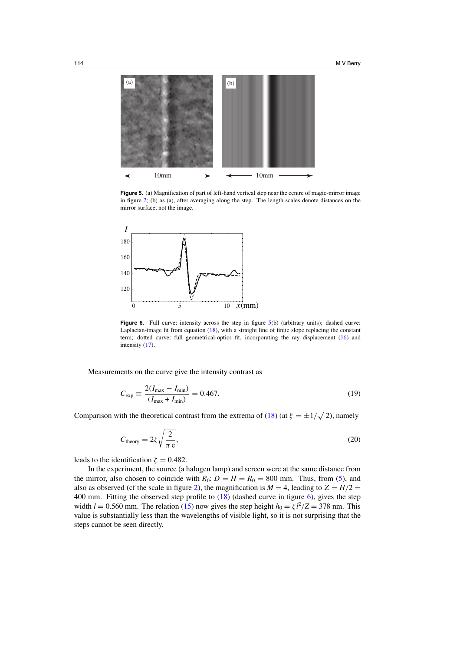<span id="page-5-0"></span>



**Figure 5.** (a) Magnification of part of left-hand vertical step near the centre of magic-mirror image in figure [2;](#page-1-0) (b) as (a), after averaging along the step. The length scales denote distances on the mirror surface, not the image.



**Figure 6.** Full curve: intensity across the step in figure 5(b) (arbitrary units); dashed curve: Laplacian-image fit from equation [\(18\)](#page-4-0), with a straight line of finite slope replacing the constant term; dotted curve: full geometrical-optics fit, incorporating the ray displacement [\(16\)](#page-4-0) and intensity [\(17\)](#page-4-0).

Measurements on the curve give the intensity contrast as

$$
C_{\exp} \equiv \frac{2(I_{\max} - I_{\min})}{(I_{\max} + I_{\min})} = 0.467.
$$
 (19)

Comparison with the theoretical contrast from the extrema of [\(18\)](#page-4-0) (at  $\xi = \pm 1/\sqrt{2}$ ), namely

$$
C_{\text{theory}} = 2\zeta \sqrt{\frac{2}{\pi \,\mathrm{e}}},\tag{20}
$$

leads to the identification  $\zeta = 0.482$ .

In the experiment, the source (a halogen lamp) and screen were at the same distance from the mirror, also chosen to coincide with  $R_0$ :  $D = H = R_0 = 800$  mm. Thus, from [\(5\)](#page-2-0), and also as observed (cf the scale in figure [2\)](#page-1-0), the magnification is  $M = 4$ , leading to  $Z = H/2$ 400 mm. Fitting the observed step profile to [\(18\)](#page-4-0) (dashed curve in figure 6), gives the step width  $l = 0.560$  mm. The relation [\(15\)](#page-4-0) now gives the step height  $h_0 = \zeta l^2/Z = 378$  nm. This value is substantially less than the wavelengths of visible light, so it is not surprising that the steps cannot be seen directly.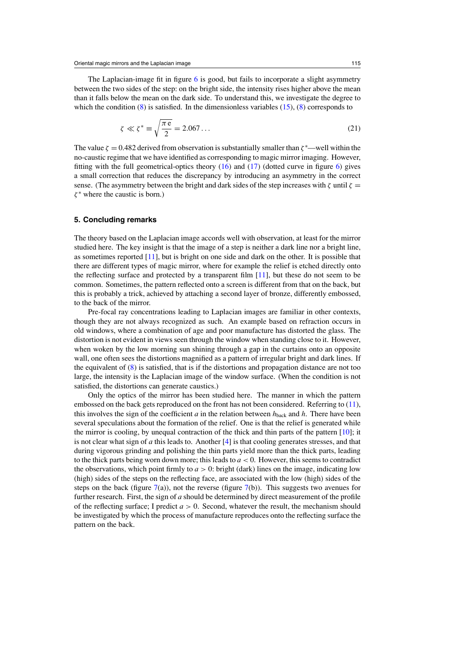<span id="page-6-0"></span>The Laplacian-image fit in figure  $6$  is good, but fails to incorporate a slight asymmetry between the two sides of the step: on the bright side, the intensity rises higher above the mean than it falls below the mean on the dark side. To understand this, we investigate the degree to which the condition  $(8)$  is satisfied. In the dimensionless variables  $(15)$ ,  $(8)$  corresponds to

$$
\zeta \ll \zeta^* \equiv \sqrt{\frac{\pi \,\mathrm{e}}{2}} = 2.067\ldots\tag{21}
$$

The value  $\zeta = 0.482$  derived from observation is substantially smaller than  $\zeta^*$ —well within the no-caustic regime that we have identified as corresponding to magic mirror imaging. However, fitting with the full geometrical-optics theory  $(16)$  and  $(17)$  (dotted curve in figure [6\)](#page-5-0) gives a small correction that reduces the discrepancy by introducing an asymmetry in the correct sense. (The asymmetry between the bright and dark sides of the step increases with  $\zeta$  until  $\zeta$  = *ζ* <sup>∗</sup> where the caustic is born.)

### **5. Concluding remarks**

The theory based on the Laplacian image accords well with observation, at least for the mirror studied here. The key insight is that the image of a step is neither a dark line nor a bright line, as sometimes reported [\[11\]](#page-9-0), but is bright on one side and dark on the other. It is possible that there are different types of magic mirror, where for example the relief is etched directly onto the reflecting surface and protected by a transparent film [\[11\]](#page-9-0), but these do not seem to be common. Sometimes, the pattern reflected onto a screen is different from that on the back, but this is probably a trick, achieved by attaching a second layer of bronze, differently embossed, to the back of the mirror.

Pre-focal ray concentrations leading to Laplacian images are familiar in other contexts, though they are not always recognized as such. An example based on refraction occurs in old windows, where a combination of age and poor manufacture has distorted the glass. The distortion is not evident in views seen through the window when standing close to it. However, when woken by the low morning sun shining through a gap in the curtains onto an opposite wall, one often sees the distortions magnified as a pattern of irregular bright and dark lines. If the equivalent of [\(8\)](#page-3-0) is satisfied, that is if the distortions and propagation distance are not too large, the intensity is the Laplacian image of the window surface. (When the condition is not satisfied, the distortions can generate caustics.)

Only the optics of the mirror has been studied here. The manner in which the pattern embossed on the back gets reproduced on the front has not been considered. Referring to [\(11\)](#page-4-0), this involves the sign of the coefficient *a* in the relation between  $h_{\text{back}}$  and *h*. There have been several speculations about the formation of the relief. One is that the relief is generated while the mirror is cooling, by unequal contraction of the thick and thin parts of the pattern [\[10](#page-9-0)]; it is not clear what sign of *a* this leads to. Another [\[4](#page-8-0)] is that cooling generates stresses, and that during vigorous grinding and polishing the thin parts yield more than the thick parts, leading to the thick parts being worn down more; this leads to  $a < 0$ . However, this seems to contradict the observations, which point firmly to  $a > 0$ : bright (dark) lines on the image, indicating low (high) sides of the steps on the reflecting face, are associated with the low (high) sides of the steps on the back (figure [7\(](#page-7-0)a)), not the reverse (figure 7(b)). This suggests two avenues for further research. First, the sign of *a* should be determined by direct measurement of the profile of the reflecting surface; I predict  $a > 0$ . Second, whatever the result, the mechanism should be investigated by which the process of manufacture reproduces onto the reflecting surface the pattern on the back.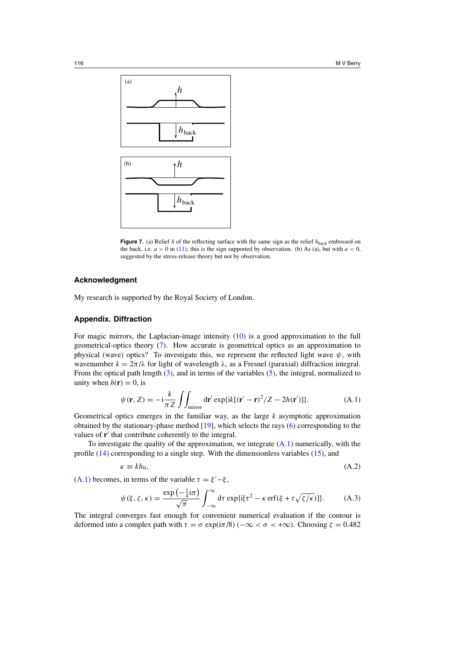<span id="page-7-0"></span>

**Figure 7.** (a) Relief *h* of the reflecting surface with the same sign as the relief  $h_{\text{back}}$  embossed on the back, i.e.  $a > 0$  in [\(11\)](#page-4-0); this is the sign supported by observation. (b) As (a), but with  $a < 0$ , suggested by the stress-release theory but not by observation.

# **Acknowledgment**

My research is supported by the Royal Society of London.

# **Appendix. Diffraction**

For magic mirrors, the Laplacian-image intensity [\(10\)](#page-3-0) is a good approximation to the full geometrical-optics theory [\(7\)](#page-2-0). How accurate is geometrical optics as an approximation to physical (wave) optics? To investigate this, we represent the reflected light wave  $\psi$ , with wavenumber  $k = 2\pi/\lambda$  for light of wavelength  $\lambda$ , as a Fresnel (paraxial) diffraction integral. From the optical path length [\(3\)](#page-2-0), and in terms of the variables [\(5\)](#page-2-0), the integral, normalized to unity when  $h(\mathbf{r}) = 0$ , is

$$
\psi(\mathbf{r}, Z) = -i\frac{k}{\pi Z} \iint_{\text{mirror}} d\mathbf{r}' \exp\{ik[(\mathbf{r}' - \mathbf{r})^2/Z - 2h(\mathbf{r}')] \}.
$$
 (A.1)

Geometrical optics emerges in the familiar way, as the large *k* asymptotic approximation obtained by the stationary-phase method [\[19](#page-9-0)], which selects the rays [\(6\)](#page-2-0) corresponding to the values of **r**' that contribute coherently to the integral.

To investigate the quality of the approximation, we integrate (A*.*1) numerically, with the profile [\(14\)](#page-4-0) corresponding to a single step. With the dimensionless variables [\(15\)](#page-4-0), and

$$
\kappa \equiv kh_0,\tag{A.2}
$$

 $(A.1)$  becomes, in terms of the variable  $τ = ξ' - ξ$ ,

$$
\psi(\xi, \zeta, \kappa) = \frac{\exp\left(-\frac{1}{4}\mathrm{i}\pi\right)}{\sqrt{\pi}} \int_{-\infty}^{\infty} \mathrm{d}\tau \exp\{\mathrm{i}[\tau^2 - \kappa \operatorname{erf}(\xi + \tau\sqrt{\zeta/\kappa})]\}. \tag{A.3}
$$

The integral converges fast enough for convenient numerical evaluation if the contour is deformed into a complex path with *τ* = *σ* exp(i*π*/8) (−∞ *<σ <* +∞). Choosing *ζ* = 0.482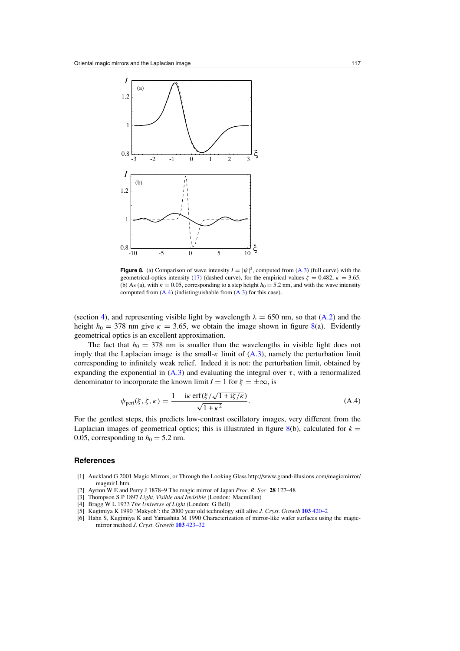<span id="page-8-0"></span>

**Figure 8.** (a) Comparison of wave intensity  $I = |\psi|^2$ , computed from [\(A](#page-7-0).3) (full curve) with the geometrical-optics intensity [\(17\)](#page-4-0) (dashed curve), for the empirical values  $\zeta = 0.482$ ,  $\kappa = 3.65$ . (b) As (a), with  $\kappa = 0.05$ , corresponding to a step height  $h_0 = 5.2$  nm, and with the wave intensity computed from (A*.*4) (indistinguishable from [\(A](#page-7-0)*.*3) for this case).

(section [4\)](#page-4-0), and representing visible light by wavelength  $\lambda = 650$  nm, so that [\(A](#page-7-0).2) and the height  $h_0 = 378$  nm give  $\kappa = 3.65$ , we obtain the image shown in figure 8(a). Evidently geometrical optics is an excellent approximation.

The fact that  $h_0 = 378$  nm is smaller than the wavelengths in visible light does not imply that the Laplacian image is the small-*κ* limit of [\(A](#page-7-0)*.*3), namely the perturbation limit corresponding to infinitely weak relief. Indeed it is not: the perturbation limit, obtained by expanding the exponential in  $(A.3)$  $(A.3)$  and evaluating the integral over  $\tau$ , with a renormalized denominator to incorporate the known limit  $I = 1$  for  $\xi = \pm \infty$ , is

$$
\psi_{\text{pert}}(\xi, \zeta, \kappa) = \frac{1 - i\kappa \,\text{erf}(\xi/\sqrt{1 + i\zeta/\kappa})}{\sqrt{1 + \kappa^2}}.
$$
\n(A.4)

For the gentlest steps, this predicts low-contrast oscillatory images, very different from the Laplacian images of geometrical optics; this is illustrated in figure 8(b), calculated for  $k =$ 0.05, corresponding to  $h_0 = 5.2$  nm.

# **References**

- [1] Auckland G 2001 Magic Mirrors, or Through the Looking Glass http://www.grand-illusions.com/magicmirror/ magmir1.htm
- [2] Ayrton W E and Perry J 1878–9 The magic mirror of Japan *Proc. R. Soc.* **28** 127–48
- [3] Thompson S P 1897 *Light, Visible and Invisible* (London: Macmillan)
- [4] Bragg W L 1933 *The Universe of Light* (London: G Bell)
- [5] Kugimiya K 1990 'Makyoh': the 2000 year old technology still alive *J. Cryst. Growth* **103** [420–2](http://dx.doi.org/10.1016/0022-0248(90)90220-F)
- [6] Hahn S, Kugimiya K and Yamashita M 1990 Characterization of mirror-like wafer surfaces using the magicmirror method *J. Cryst. Growth* **103** [423–32](http://dx.doi.org/10.1016/0022-0248(90)90221-6)